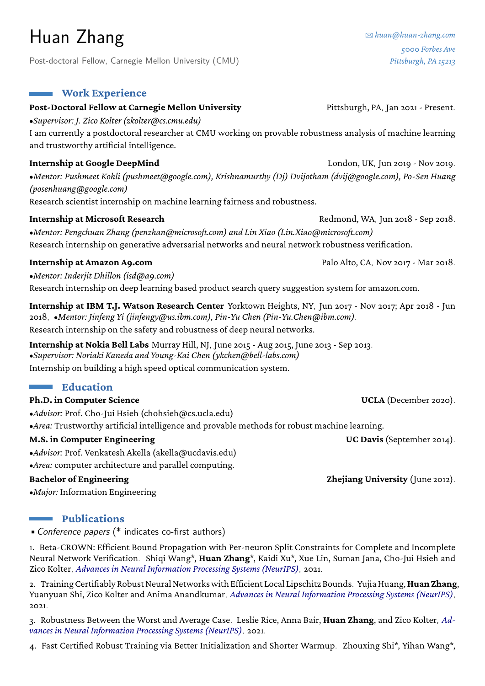# Huan Zhang

Post-doctoral Fellow, Carnegie Mellon University (CMU)

### **Work Experience**

#### Post-Doctoral Fellow at Carnegie Mellon University Pittsburgh, PA, Jan 2021 - Present.

•*Supervisor: [J. Zico Kolter \(zkolter@cs.cmu.edu\)](http://zicokolter.com)*

I am currently a postdoctoral researcher at CMU working on provable robustness analysis of machine learning and trustworthy artificial intelligence.

### **Internship at Google DeepMind** London, UK, Jun 2019 - Nov 2019.

•*Mentor: [Pushmeet Kohli \(pushmeet@google.com\),](https://sites.google.com/site/pushmeet/) [Krishnamurthy \(Dj\) Dvijotham](https://dvij.github.io/) (dvij@google.com), [Po-Sen Huang](https://posenhuang.github.io/) [\(posenhuang@google.com\)](https://posenhuang.github.io/)* Research scientist internship on machine learning fairness and robustness.

#### **Internship at Microsoft Research** Redmond, WA, Jun 2018 - Sep 2018.

•*Mentor: [Pengchuan Zhang \(penzhan@microsoft.com\)](https://www.microsoft.com/en-us/research/people/penzhan/) and [Lin Xiao](https://www.microsoft.com/en-us/research/people/lixiao/) (Lin.Xiao@microsoft.com)* Research internship on generative adversarial networks and neural network robustness verification.

#### **Internship at Amazon A9.com** Palo Alto, CA, Nov 2017 - Mar 2018.

•*Mentor: [Inderjit Dhillon](https://www.cs.utexas.edu/~inderjit/) (isd@a9.com)* Research internship on deep learning based product search query suggestion system for amazon.com.

**Internship at IBM T.J. Watson Research Center** Yorktown Heights, NY, Jun 2017 - Nov 2017; Apr 2018 - Jun 2018, •*Mentor: [Jinfeng Yi](http://jinfengyi.net/) (jinfengy@us.ibm.com), [Pin-Yu Chen](https://sites.google.com/site/pinyuchenpage/) (Pin-Yu.Chen@ibm.com)*.

Research internship on the safety and robustness of deep neural networks.

**Internship at Nokia Bell Labs** Murray Hill, NJ, June 2015 - Aug 2015, June 2013 - Sep 2013. •*Supervisor: [Noriaki Kaneda](mailto:Noriaki.Kaneda@alcatel-lucent.com) and [Young-Kai Chen](mailto:ykchen@bell-labs.com) (ykchen@bell-labs.com)* Internship on building a high speed optical communication system.

# **Education**

#### **Ph.D. in Computer Science UCLA** (December 2020).

•*Advisor:* [Prof. Cho-Jui Hsieh \(chohsieh@cs.ucla.edu\)](http://web.cs.ucla.edu/~chohsieh/) •*Area:* Trustworthy artificial intelligence and provable methods for robust machine learning.

**M.S. in Computer Engineering**  The Computer Engineering **UC Davis** (September 2014).

•*Advisor:* [Prof. Venkatesh Akella \(akella@ucdavis.edu\)](http://www.ece.ucdavis.edu/~akella/)

•*Area:* computer architecture and parallel computing.

•*Major:* Information Engineering

# **Publications**

•Conference papers (\* indicates co-first authors)

1. Beta-CROWN: Efficient Bound Propagation with Per-neuron Split Constraints for Complete and Incomplete Neural Network Verification. Shiqi Wang\*, **Huan Zhang**\*, Kaidi Xu\*, Xue Lin, Suman Jana, Cho-Jui Hsieh and Zico Kolter, *Advances in Neural Information Processing Systems (NeurIPS)*, 2021.

2. Training Certifiably Robust Neural Networks with Efficient Local Lipschitz Bounds. Yujia Huang, **Huan Zhang**, Yuanyuan Shi, Zico Kolter and Anima Anandkumar, *Advances in Neural Information Processing Systems (NeurIPS)*, 2021.

3. Robustness Between the Worst and Average Case. Leslie Rice, Anna Bair, **Huan Zhang**, and Zico Kolter, *Advances in Neural Information Processing Systems (NeurIPS)*, 2021.

4. Fast Certified Robust Training via Better Initialization and Shorter Warmup. Zhouxing Shi\*, Yihan Wang\*,

**Bachelor of Engineering 2012 Zhejiang University** (June 2012).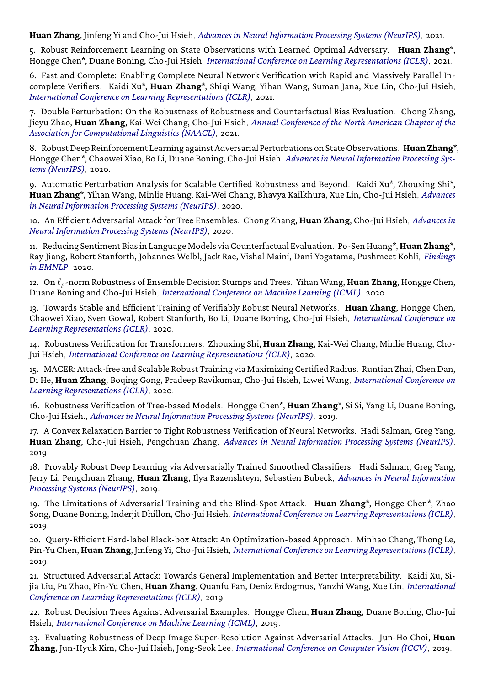**Huan Zhang**, Jinfeng Yi and Cho-Jui Hsieh, *Advances in Neural Information Processing Systems (NeurIPS)*, 2021.

5. Robust Reinforcement Learning on State Observations with Learned Optimal Adversary. **Huan Zhang**\*, Hongge Chen\*, Duane Boning, Cho-Jui Hsieh, *International Conference on Learning Representations (ICLR)*, 2021.

6. Fast and Complete: Enabling Complete Neural Network Verification with Rapid and Massively Parallel Incomplete Verifiers. Kaidi Xu\*, **Huan Zhang**\*, Shiqi Wang, Yihan Wang, Suman Jana, Xue Lin, Cho-Jui Hsieh, *International Conference on Learning Representations (ICLR)*, 2021.

7. Double Perturbation: On the Robustness of Robustness and Counterfactual Bias Evaluation. Chong Zhang, Jieyu Zhao, **Huan Zhang**, Kai-Wei Chang, Cho-Jui Hsieh, *Annual Conference of the North American Chapter of the Association for Computational Linguistics (NAACL)*, 2021.

8. RobustDeep Reinforcement Learning against Adversarial Perturbations on StateObservations. **Huan Zhang**\*, Hongge Chen\*, Chaowei Xiao, Bo Li, Duane Boning, Cho-Jui Hsieh, *Advances in Neural Information Processing Systems (NeurIPS)*, 2020.

9. Automatic Perturbation Analysis for Scalable Certified Robustness and Beyond. Kaidi Xu\*, Zhouxing Shi\*, **Huan Zhang**\*, Yihan Wang, Minlie Huang, Kai-Wei Chang, Bhavya Kailkhura, Xue Lin, Cho-Jui Hsieh, *Advances in Neural Information Processing Systems (NeurIPS)*, 2020.

10. An Efficient Adversarial Attack for Tree Ensembles. Chong Zhang, **Huan Zhang**, Cho-Jui Hsieh, *Advances in Neural Information Processing Systems (NeurIPS)*, 2020.

11. Reducing Sentiment Bias in Language Models via Counterfactual Evaluation. Po-Sen Huang\*,**Huan Zhang**\*, Ray Jiang, Robert Stanforth, Johannes Welbl, Jack Rae, Vishal Maini, Dani Yogatama, Pushmeet Kohli, *Findings in EMNLP*, 2020.

12. On *`p*-norm Robustness of Ensemble Decision Stumps and Trees. Yihan Wang, **Huan Zhang**, Hongge Chen, Duane Boning and Cho-Jui Hsieh, *International Conference on Machine Learning (ICML)*, 2020.

13. Towards Stable and Efficient Training of Verifiably Robust Neural Networks. **Huan Zhang**, Hongge Chen, Chaowei Xiao, Sven Gowal, Robert Stanforth, Bo Li, Duane Boning, Cho-Jui Hsieh, *International Conference on Learning Representations (ICLR)*, 2020.

14. Robustness Verification for Transformers. Zhouxing Shi, **Huan Zhang**, Kai-Wei Chang, Minlie Huang, Cho-Jui Hsieh, *International Conference on Learning Representations (ICLR)*, 2020.

15. MACER: Attack-free and Scalable Robust Training via Maximizing Certified Radius. Runtian Zhai, Chen Dan, Di He, **Huan Zhang**, Boqing Gong, Pradeep Ravikumar, Cho-Jui Hsieh, Liwei Wang, *International Conference on Learning Representations (ICLR)*, 2020.

16. Robustness Verification of Tree-based Models. Hongge Chen\*, **Huan Zhang**\*, Si Si, Yang Li, Duane Boning, Cho-Jui Hsieh., *Advances in Neural Information Processing Systems (NeurIPS)*, 2019.

17. A Convex Relaxation Barrier to Tight Robustness Verification of Neural Networks. Hadi Salman, Greg Yang, **Huan Zhang**, Cho-Jui Hsieh, Pengchuan Zhang, *Advances in Neural Information Processing Systems (NeurIPS)*, 2019.

18. Provably Robust Deep Learning via Adversarially Trained Smoothed Classifiers. Hadi Salman, Greg Yang, Jerry Li, Pengchuan Zhang, **Huan Zhang**, Ilya Razenshteyn, Sebastien Bubeck, *Advances in Neural Information Processing Systems (NeurIPS)*, 2019.

19. The Limitations of Adversarial Training and the Blind-Spot Attack. **Huan Zhang**\*, Hongge Chen\*, Zhao Song, Duane Boning, Inderjit Dhillon, Cho-Jui Hsieh, *International Conference on Learning Representations (ICLR)*, 2019.

20. Query-Efficient Hard-label Black-box Attack: An Optimization-based Approach. Minhao Cheng, Thong Le, Pin-Yu Chen,**Huan Zhang**, Jinfeng Yi, Cho-Jui Hsieh, *International Conference on Learning Representations (ICLR)*, 2019.

21. Structured Adversarial Attack: Towards General Implementation and Better Interpretability. Kaidi Xu, Sijia Liu, Pu Zhao, Pin-Yu Chen, **Huan Zhang**, Quanfu Fan, Deniz Erdogmus, Yanzhi Wang, Xue Lin, *International Conference on Learning Representations (ICLR)*, 2019.

22. Robust Decision Trees Against Adversarial Examples. Hongge Chen, **Huan Zhang**, Duane Boning, Cho-Jui Hsieh, *International Conference on Machine Learning (ICML)*, 2019.

23. Evaluating Robustness of Deep Image Super-Resolution Against Adversarial Attacks. Jun-Ho Choi, **Huan Zhang**, Jun-Hyuk Kim, Cho-Jui Hsieh, Jong-Seok Lee, *International Conference on Computer Vision (ICCV)*, 2019.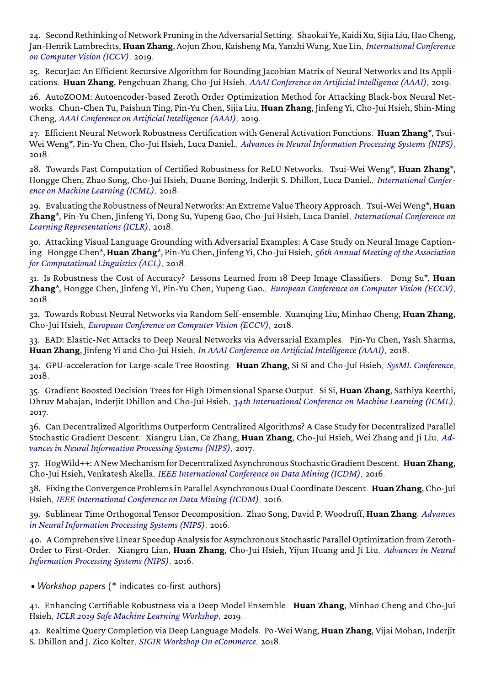24. Second Rethinking of Network Pruning in the Adversarial Setting. Shaokai Ye, Kaidi Xu, Sijia Liu, Hao Cheng, Jan-Henrik Lambrechts,**Huan Zhang**, Aojun Zhou, Kaisheng Ma, Yanzhi Wang, Xue Lin, *International Conference on Computer Vision (ICCV)*, 2019.

25. RecurJac: An Efficient Recursive Algorithm for Bounding Jacobian Matrix of Neural Networks and Its Applications. **Huan Zhang**, Pengchuan Zhang, Cho-Jui Hsieh, *AAAI Conference on Artificial Intelligence (AAAI)*, 2019.

26. AutoZOOM: Autoencoder-based Zeroth Order Optimization Method for Attacking Black-box Neural Networks. Chun-Chen Tu, Paishun Ting, Pin-Yu Chen, Sijia Liu, **Huan Zhang**, Jinfeng Yi, Cho-Jui Hsieh, Shin-Ming Cheng, *AAAI Conference on Artificial Intelligence (AAAI)*, 2019.

27. Efficient Neural Network Robustness Certification with General Activation Functions. **Huan Zhang**\*, Tsui-Wei Weng\*, Pin-Yu Chen, Cho-Jui Hsieh, Luca Daniel., *Advances in Neural Information Processing Systems (NIPS)*, 2018.

28. Towards Fast Computation of Certified Robustness for ReLU Networks. Tsui-Wei Weng\*, **Huan Zhang**\*, Hongge Chen, Zhao Song, Cho-Jui Hsieh, Duane Boning, Inderjit S. Dhillon, Luca Daniel., *International Conference on Machine Learning (ICML)*, 2018.

29. Evaluating the Robustness of Neural Networks: An Extreme Value Theory Approach. Tsui-WeiWeng\*,**Huan Zhang**\*, Pin-Yu Chen, Jinfeng Yi, Dong Su, Yupeng Gao, Cho-Jui Hsieh, Luca Daniel, *International Conference on Learning Representations (ICLR)*, 2018.

30. Attacking Visual Language Grounding with Adversarial Examples: A Case Study on Neural Image Captioning. Hongge Chen\*, **Huan Zhang**\*, Pin-Yu Chen, Jinfeng Yi, Cho-Jui Hsieh, *56th Annual Meeting of the Association for Computational Linguistics (ACL)*, 2018.

31. Is Robustness the Cost of Accuracy? Lessons Learned from 18 Deep Image Classifiers. Dong Su\*, **Huan Zhang**\*, Hongge Chen, Jinfeng Yi, Pin-Yu Chen, Yupeng Gao., *European Conference on Computer Vision (ECCV)*, 2018.

32. Towards Robust Neural Networks via Random Self-ensemble. Xuanqing Liu, Minhao Cheng, **Huan Zhang**, Cho-Jui Hsieh, *European Conference on Computer Vision (ECCV)*, 2018.

33. EAD: Elastic-Net Attacks to Deep Neural Networks via Adversarial Examples. Pin-Yu Chen, Yash Sharma, **Huan Zhang**, Jinfeng Yi and Cho-Jui Hsieh, *In AAAI Conference on Artificial Intelligence (AAAI)*, 2018.

34. GPU-acceleration for Large-scale Tree Boosting. **Huan Zhang**, Si Si and Cho-Jui Hsieh, *SysML Conference*,  $2018$ 

35. Gradient Boosted Decision Trees for High Dimensional Sparse Output. Si Si, **Huan Zhang**, Sathiya Keerthi, Dhruv Mahajan, Inderjit Dhillon and Cho-Jui Hsieh, *34th International Conference on Machine Learning (ICML)*, 2017.

36. Can Decentralized Algorithms Outperform Centralized Algorithms? A Case Study for Decentralized Parallel Stochastic Gradient Descent. Xiangru Lian, Ce Zhang, **Huan Zhang**, Cho-Jui Hsieh, Wei Zhang and Ji Liu, *Advances in Neural Information Processing Systems (NIPS)*, 2017.

37. HogWild++: A New Mechanism for Decentralized Asynchronous Stochastic Gradient Descent. Huan Zhang, Cho-Jui Hsieh, Venkatesh Akella, *IEEE International Conference on Data Mining (ICDM)*, 2016.

38. Fixing the Convergence Problems in Parallel Asynchronous Dual Coordinate Descent. **Huan Zhang**, Cho-Jui Hsieh, *IEEE International Conference on Data Mining (ICDM)*, 2016.

39. Sublinear Time Orthogonal Tensor Decomposition. Zhao Song, David P. Woodruff, **Huan Zhang**, *Advances in Neural Information Processing Systems (NIPS)*, 2016.

40. A Comprehensive Linear Speedup Analysis for Asynchronous Stochastic Parallel Optimization from Zeroth-Order to First-Order. Xiangru Lian, **Huan Zhang**, Cho-Jui Hsieh, Yijun Huang and Ji Liu, *Advances in Neural Information Processing Systems (NIPS)*, 2016.

•Workshop papers (\* indicates co-first authors)

41. Enhancing Certifiable Robustness via a Deep Model Ensemble. **Huan Zhang**, Minhao Cheng and Cho-Jui Hsieh, *ICLR 2019 Safe Machine Learning Workshop*, 2019.

42. Realtime Query Completion via Deep Language Models. Po-Wei Wang, **Huan Zhang**, Vijai Mohan, Inderjit S. Dhillon and J. Zico Kolter, *SIGIR Workshop On eCommerce*, 2018.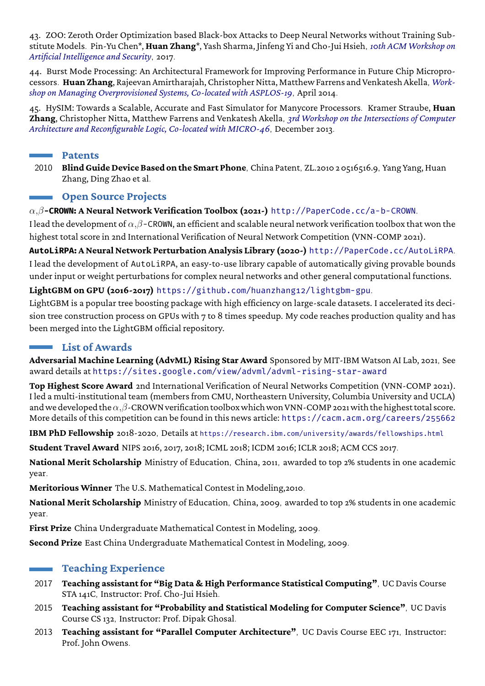43. ZOO: Zeroth Order Optimization based Black-box Attacks to Deep Neural Networks without Training Substitute Models. Pin-Yu Chen\*, **Huan Zhang**\*, Yash Sharma, Jinfeng Yi and Cho-Jui Hsieh, *10th ACM Workshop on Artificial Intelligence and Security*, 2017.

44. Burst Mode Processing: An Architectural Framework for Improving Performance in Future Chip Microprocessors. **Huan Zhang**, Rajeevan Amirtharajah, Christopher Nitta, Matthew Farrens and Venkatesh Akella, *Workshop on Managing Overprovisioned Systems, Co-located with ASPLOS-19*, April 2014.

45. HySIM: Towards a Scalable, Accurate and Fast Simulator for Manycore Processors. Kramer Straube, **Huan Zhang**, Christopher Nitta, Matthew Farrens and Venkatesh Akella, *3rd Workshop on the Intersections of Computer Architecture and Reconfigurable Logic, Co-located with MICRO-46*, December 2013.

#### **Patents**

2010 **Blind Guide Device Based on the Smart Phone**, China Patent, ZL.2010 2 0516516.9, Yang Yang, Huan Zhang, Ding Zhao et al.

#### **Open Source Projects**

#### *α,β***-CROWN: A Neural Network Verification Toolbox (2021-)** <http://PaperCode.cc/a-b-CROWN>.

I lead the development of *α,β*-CROWN, an efficient and scalable neural network verification toolbox that won the highest total score in 2nd International Verification of Neural Network Competition (VNN-COMP 2021).

**AutoLiRPA: A Neural Network Perturbation Analysis Library (2020-)** <http://PaperCode.cc/AutoLiRPA>. I lead the development of AutoLiRPA, an easy-to-use library capable of automatically giving provable bounds under input or weight perturbations for complex neural networks and other general computational functions.

#### **LightGBM on GPU (2016-2017)** <https://github.com/huanzhang12/lightgbm-gpu>.

LightGBM is a popular tree boosting package with high efficiency on large-scale datasets. I accelerated its decision tree construction process on GPUs with 7 to 8 times speedup. My code reaches production quality and has been merged into the LightGBM official repository.

## **List of Awards**

**Adversarial Machine Learning (AdvML) Rising Star Award** Sponsored by MIT-IBM Watson AI Lab, 2021, See award details at <https://sites.google.com/view/advml/advml-rising-star-award>

**Top Highest Score Award** 2nd International Verification of Neural Networks Competition [\(VNN-COMP 2021\)](http://huan-zhang.com/pdf/vnncomp21.pdf). I led a multi-institutional team (members from CMU, Northeastern University, Columbia University and UCLA) and we developed the*α,β*-CROWN verification toolbox which won VNN-COMP 2021 with the highest total score. More details of this competition can be found in this news article: <https://cacm.acm.org/careers/255662>

**IBM PhD Fellowship** 2018-2020, Details at <https://research.ibm.com/university/awards/fellowships.html>

**Student Travel Award** NIPS 2016, 2017, 2018; ICML 2018; ICDM 2016; ICLR 2018; ACM CCS 2017.

**National Merit Scholarship** Ministry of Education, China, 2011, awarded to top 2% students in one academic year.

**Meritorious Winner** [The U.S. Mathematical Contest in Modeling,2010](http://www.comap.com/undergraduate/contests/mcm/).

**National Merit Scholarship** Ministry of Education, China, 2009, awarded to top 2% students in one academic year.

**First Prize** China Undergraduate Mathematical Contest in Modeling, 2009.

**Second Prize** East China Undergraduate Mathematical Contest in Modeling, 2009.

# **Teaching Experience**

- 2017 **Teaching assistant for "Big Data & High Performance Statistical Computing"**, UC Davis Course STA 141C, Instructor: Prof. Cho-Jui Hsieh.
- 2015 **Teaching assistant for "Probability and Statistical Modeling for Computer Science"**, UC Davis Course CS 132, Instructor: Prof. Dipak Ghosal.
- 2013 **Teaching assistant for "Parallel Computer Architecture"**, UC Davis Course EEC 171, Instructor: Prof. John Owens.